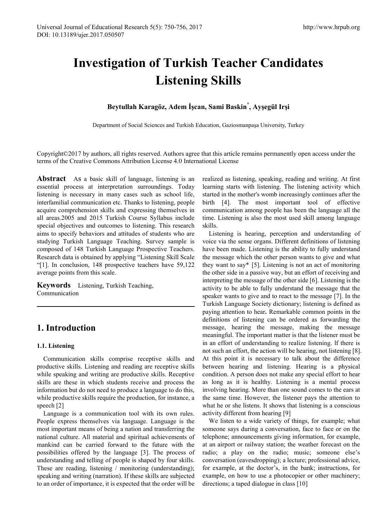# **Investigation of Turkish Teacher Candidates Listening Skills**

## **Beytullah Karagöz, Adem İşcan, Sami Baskin\* , Ayşegül Irşi**

Department of Social Sciences and Turkish Education, Gaziosmanpaşa University, Turkey

Copyright©2017 by authors, all rights reserved. Authors agree that this article remains permanently open access under the terms of the Creative Commons Attribution License 4.0 International License

**Abstract** As a basic skill of language, listening is an essential process at interpretation surroundings. Today listening is necessary in many cases such as school life, interfamilial communication etc. Thanks to listening, people acquire comprehension skills and expressing themselves in all areas.2005 and 2015 Turkish Course Syllabus include special objectives and outcomes to listening. This research aims to specify behaviors and attitudes of students who are studying Turkish Language Teaching. Survey sample is composed of 148 Turkish Language Prospective Teachers. Research data is obtained by applying "Listening Skill Scale "[1]. In conclusion, 148 prospective teachers have 59,122 average points from this scale.

**Keywords** Listening, Turkish Teaching, Communication

# **1. Introduction**

#### **1.1. Listening**

Communication skills comprise receptive skills and productive skills. Listening and reading are receptive skills while speaking and writing are productive skills. Receptive skills are these in which students receive and process the information but do not need to produce a language to do this, while productive skills require the production, for instance, a speech [2]

Language is a communication tool with its own rules. People express themselves via language. Language is the most important means of being a nation and transferring the national culture. All material and spiritual achievements of mankind can be carried forward to the future with the possibilities offered by the language [3]. The process of understanding and telling of people is shaped by four skills. These are reading, listening / monitoring (understanding); speaking and writing (narration). If these skills are subjected to an order of importance, it is expected that the order will be

realized as listening, speaking, reading and writing. At first learning starts with listening. The listening activity which started in the mother's womb increasingly continues after the birth [4]. The most important tool of effective communication among people has been the language all the time. Listening is also the most used skill among language skills.

Listening is hearing, perception and understanding of voice via the sense organs. Different definitions of listening have been made. Listening is the ability to fully understand the message which the other person wants to give and what they want to say\* [5]. Listening is not an act of monitoring the other side in a passive way, but an effort of receiving and interpreting the message of the other side [6]. Listening is the activity to be able to fully understand the message that the speaker wants to give and to react to the message [7]. In the Turkish Language Society dictionary; listening is defined as paying attention to hear**.** Remarkable common points in the definitions of listening can be ordered as forwarding the message, hearing the message, making the message meaningful. The important matter is that the listener must be in an effort of understanding to realize listening. lf there is not such an effort, the action will be hearing, not listening [8]. At this point it is necessary to talk about the difference between hearing and listening. Hearing is a physical condition. A person does not make any special effort to hear as long as it is healthy. Listening is a mental process involving hearing. More than one sound comes to the ears at the same time. However, the listener pays the attention to what he or she listens. It shows that listening is a conscious activity different from hearing [9]

We listen to a wide variety of things, for example; what someone says during a conversation, face to face or on the telephone; announcements giving information, for example, at an airport or railway station; the weather forecast on the radio; a play on the radio; music; someone else's conversation (eavesdropping); a lecture; professional advice, for example, at the doctor's, in the bank; instructions, for example, on how to use a photocopier or other machinery; directions; a taped dialogue in class [10]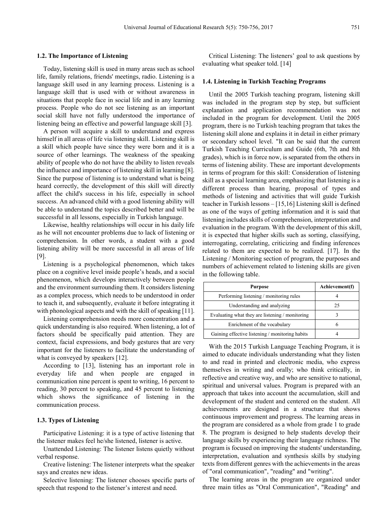#### **1.2. The Importance of Listening**

Today, listening skill is used in many areas such as school life, family relations, friends' meetings, radio. Listening is a language skill used in any learning process. Listening is a language skill that is used with or without awareness in situations that people face in social life and in any learning process. People who do not see listening as an important social skill have not fully understood the importance of listening being an effective and powerful language skill [3].

A person will acquire a skill to understand and express himself in all areas of life via listening skill. Listening skill is a skill which people have since they were born and it is a source of other learnings. The weakness of the speaking ability of people who do not have the ability to listen reveals the influence and importance of listening skill in learning [8]. Since the purpose of listening is to understand what is being heard correctly, the development of this skill will directly affect the child's success in his life, especially in school success. An advanced child with a good listening ability will be able to understand the topics described better and will be successful in all lessons, especially in Turkish language.

Likewise, healthy relationships will occur in his daily life as he will not encounter problems due to lack of listening or comprehension. In other words, a student with a good listening ability will be more successful in all areas of life [9].

Listening is a psychological phenomenon, which takes place on a cognitive level inside people's heads, and a social phenomenon, which develops interactively between people and the environment surrounding them. It considers listening as a complex process, which needs to be understood in order to teach it, and subsequently, evaluate it before integrating it with phonological aspects and with the skill of speaking [11].

Listening comprehension needs more concentration and a quick understanding is also required. When listening, a lot of factors should be specifically paid attention. They are context, facial expressions, and body gestures that are very important for the listeners to facilitate the understanding of what is conveyed by speakers [12].

According to [13], listening has an important role in everyday life and when people are engaged in communication nine percent is spent to writing, 16 percent to reading, 30 percent to speaking, and 45 percent to listening which shows the significance of listening in the communication process.

#### **1.3. Types of Listening**

Participative Listening: it is a type of active listening that the listener makes feel he/she listened, listener is active.

Unattended Listening: The listener listens quietly without verbal response.

Creative listening: The listener interprets what the speaker says and creates new ideas.

Selective listening: The listener chooses specific parts of speech that respond to the listener's interest and need.

Critical Listening: The listeners' goal to ask questions by evaluating what speaker told. [14]

#### **1.4. Listening in Turkish Teaching Programs**

Until the 2005 Turkish teaching program, listening skill was included in the program step by step, but sufficient explanation and application recommendation was not included in the program for development. Until the 2005 program, there is no Turkish teaching program that takes the listening skill alone and explains it in detail in either primary or secondary school level. "It can be said that the current Turkish Teaching Curriculum and Guide (6th, 7th and 8th grades), which is in force now, is separated from the others in terms of listening ability. These are important developments in terms of program for this skill: Consideration of listening skill as a special learning area, emphasizing that listening is a different process than hearing, proposal of types and methods of listening and activities that will guide Turkish teacher in Turkish lessons – [15,16] Listening skill is defined as one of the ways of getting information and it is said that listening includes skills of comprehension, interpretation and evaluation in the program. With the development of this skill, it is expected that higher skills such as sorting, classifying, interrogating, correlating, criticizing and finding inferences related to them are expected to be realized. [17]. In the Listening / Monitoring section of program, the purposes and numbers of achievement related to listening skills are given in the following table.

| <b>Purpose</b>                                  | Achievement(f) |  |  |  |
|-------------------------------------------------|----------------|--|--|--|
| Performing listening / monitoring rules         |                |  |  |  |
| Understanding and analyzing                     | 25             |  |  |  |
| Evaluating what they are listening / monitoring |                |  |  |  |
| Enrichment of the vocabulary                    | 6              |  |  |  |
| Gaining effective listening / monitoring habits |                |  |  |  |

With the 2015 Turkish Language Teaching Program, it is aimed to educate individuals understanding what they listen to and read in printed and electronic media, who express themselves in writing and orally; who think critically, in reflective and creative way, and who are sensitive to national, spiritual and universal values. Program is prepared with an approach that takes into account the accumulation, skill and development of the student and centered on the student. All achievements are designed in a structure that shows continuous improvement and progress. The learning areas in the program are considered as a whole from grade 1 to grade 8. The program is designed to help students develop their language skills by experiencing their language richness. The program is focused on improving the students' understanding, interpretation, evaluation and synthesis skills by studying texts from different genres with the achievements in the areas of "oral communication", "reading" and "writing".

The learning areas in the program are organized under three main titles as "Oral Communication", "Reading" and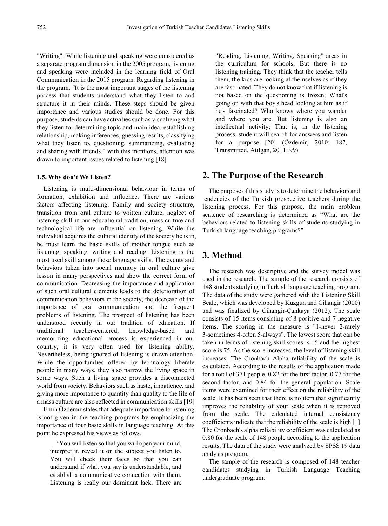"Writing". While listening and speaking were considered as a separate program dimension in the 2005 program, listening and speaking were included in the learning field of Oral Communication in the 2015 program. Regarding listening in the program, *"*It is the most important stages of the listening process that students understand what they listen to and structure it in their minds. These steps should be given importance and various studies should be done. For this purpose, students can have activities such as visualizing what they listen to, determining topic and main idea, establishing relationship, making inferences, guessing results, classifying what they listen to, questioning, summarizing, evaluating and sharing with friends." with this mentions, attention was drawn to important issues related to listening [18].

#### **1.5. Why don't We Listen?**

Listening is multi-dimensional behaviour in terms of formation, exhibition and influence. There are various factors affecting listening. Family and society structure, transition from oral culture to written culture, neglect of listening skill in our educational tradition, mass culture and technological life are influential on listening. While the individual acquires the cultural identity of the society he is in, he must learn the basic skills of mother tongue such as listening, speaking, writing and reading. Listening is the most used skill among these language skills. The events and behaviors taken into social memory in oral culture give lesson in many perspectives and show the correct form of communication. Decreasing the importance and application of such oral cultural elements leads to the deterioration of communication behaviors in the society, the decrease of the importance of oral communication and the frequent problems of listening. The prospect of listening has been understood recently in our tradition of education. If traditional teacher-centered, knowledge-based and memorizing educational process is experienced in our country, it is very often used for listening ability. Nevertheless, being ignored of listening is drawn attention. While the opportunities offered by technology liberate people in many ways, they also narrow the living space in some ways. Such a living space provides a disconnected world from society. Behaviors such as haste, impatience, and giving more importance to quantity than quality to the life of a mass culture are also reflected in communication skills [19]

Emin Özdemir states that adequate importance to listening is not given in the teaching programs by emphasizing the importance of four basic skills in language teaching. At this point he expressed his views as follows.

*"*You will listen so that you will open your mind, interpret it, reveal it on the subject you listen to. You will check their faces so that you can understand if what you say is understandable, and establish a communicative connection with them. Listening is really our dominant lack. There are

"Reading, Listening, Writing, Speaking" areas in the curriculum for schools; But there is no listening training. They think that the teacher tells them, the kids are looking at themselves as if they are fascinated. They do not know that if listening is not based on the questioning is frozen; What's going on with that boy's head looking at him as if he's fascinated? Who knows where you wander and where you are. But listening is also an intellectual activity; That is, in the listening process, student will search for answers and listen for a purpose [20] (Özdemir, 2010: 187, Transmitted, Atılgan, 2011: 99)

### **2. The Purpose of the Research**

The purpose of this study is to determine the behaviors and tendencies of the Turkish prospective teachers during the listening process. For this purpose, the main problem sentence of researching is determined as "What are the behaviors related to listening skills of students studying in Turkish language teaching programs?"

## **3. Method**

The research was descriptive and the survey model was used in the research. The sample of the research consists of 148 students studying in Turkish language teaching program. The data of the study were gathered with the Listening Skill Scale, which was developed by Kuzgun and Cihangir (2000) and was finalized by Cihangir-Çankaya (2012). The scale consists of 15 items consisting of 8 positive and 7 negative items. The scoring in the measure is "1-never 2-rarely 3-sometimes 4-often 5-always". The lowest score that can be taken in terms of listening skill scores is 15 and the highest score is 75. As the score increases, the level of listening skill increases. The Cronbach Alpha reliability of the scale is calculated. According to the results of the application made for a total of 371 people, 0.82 for the first factor, 0.77 for the second factor, and 0.84 for the general population. Scale items were examined for their effect on the reliability of the scale. It has been seen that there is no item that significantly improves the reliability of your scale when it is removed from the scale. The calculated internal consistency coefficients indicate that the reliability of the scale is high [1]. The Cronbach's alpha reliability coefficient was calculated as 0.80 for the scale of 148 people according to the application results. The data of the study were analyzed by SPSS 19 data analysis program.

The sample of the research is composed of 148 teacher candidates studying in Turkish Language Teaching undergraduate program.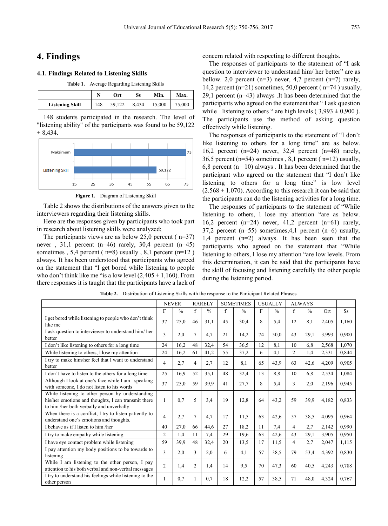# **4. Findings**

#### **4.1. Findings Related to Listening Skills**

| Table 1. Average Regarding Listening Skills |     |     |    |                         |        |  |  |  |
|---------------------------------------------|-----|-----|----|-------------------------|--------|--|--|--|
|                                             |     | Ort | Ss | Min.                    | Max.   |  |  |  |
| <b>Listening Skill</b>                      | 148 |     |    | 59,122   8,434   15,000 | 75,000 |  |  |  |

148 students participated in the research. The level of "listening ability" of the participants was found to be 59,122  $± 8,434.$ 



**Figure 1.** Diagram of Listening Skill

Table 2 shows the distributions of the answers given to the interviewers regarding their listening skills.

Here are the responses given by participants who took part in research about listening skills were analyzed;

The participants views are as below  $25,0$  percent ( $n=37$ ) never,  $31,1$  percent (n=46) rarely,  $30,4$  percent (n=45) sometimes , 5,4 percent ( $n=8$ ) usually , 8,1 percent ( $n=12$ ) always. It has been understood that participants who agreed on the statement that "I get bored while listening to people who don't think like me "is a low level  $(2,405 \pm 1,160)$ . From there responses it is taught that the participants have a lack of concern related with respecting to different thoughts.

The responses of participants to the statement of "I ask question to interviewer to understand him/ her better" are as bellow. 2,0 percent  $(n=3)$  never, 4,7 percent  $(n=7)$  rarely, 14,2 percent ( $n=21$ ) sometimes, 50,0 percent ( $n=74$ ) usually, 29,1 percent (n=43) always .It has been determined that the participants who agreed on the statement that " I ask question while listening to others " are high levels ( $3,993 \pm 0,900$ ). The participants use the method of asking question effectively while listening.

The responses of participants to the statement of "I don't like listening to others for a long time" are as below. 16,2 percent  $(n=24)$  never, 32,4 percent  $(n=48)$  rarely, 36,5 percent ( $n=54$ ) sometimes, 8,1 percent ( $n=12$ ) usually, 6,8 percent ( $n=10$ ) always . It has been determined that the participant who agreed on the statement that "I don't like listening to others for a long time" is low level  $(2.568 \pm 1.070)$ . According to this research it can be said that the participants can do the listening activities for a long time.

The responses of participants to the statement of "While listening to others, l lose my attention "are as below. 16,2 percent  $(n=24)$  never, 41,2 percent  $(n=61)$  rarely, 37,2 percent (n=55) sometimes,4,1 percent (n=6) usually, 1,4 percent (n=2) always. It has been seen that the participants who agreed on the statement that "While listening to others, l lose my attention "are low levels. From this determination, it can be said that the participants have the skill of focusing and listening carefully the other people during the listening period.

|                                                                                                                                                    | <b>NEVER</b>   |               | <b>RARELY</b>  |               | <b>SOMETIMES</b> |               | <b>USUALLY</b> |               | <b>ALWAYS</b>  |               |       |           |
|----------------------------------------------------------------------------------------------------------------------------------------------------|----------------|---------------|----------------|---------------|------------------|---------------|----------------|---------------|----------------|---------------|-------|-----------|
|                                                                                                                                                    | F              | $\frac{0}{0}$ | $\mathbf{f}$   | $\frac{0}{0}$ | f                | $\frac{0}{0}$ | F              | $\frac{0}{0}$ | f              | $\frac{0}{0}$ | Ort   | <b>Ss</b> |
| I get bored while listening to people who don't think<br>like me                                                                                   | 37             | 25,0          | 46             | 31.1          | 45               | 30,4          | 8              | 5,4           | 12             | 8,1           | 2,405 | 1,160     |
| I ask question to interviewer to understand him/her<br>better                                                                                      | 3              | 2,0           | $\overline{7}$ | 4,7           | 21               | 14,2          | 74             | 50,0          | 43             | 29,1          | 3,993 | 0,900     |
| I don't like listening to others for a long time                                                                                                   | 24             | 16,2          | 48             | 32,4          | 54               | 36,5          | 12             | 8.1           | 10             | 6,8           | 2,568 | 1,070     |
| While listening to others, I lose my attention                                                                                                     | 24             | 16,2          | 61             | 41,2          | 55               | 37,2          | 6              | 4,1           | $\overline{c}$ | 1,4           | 2,331 | 0,844     |
| I try to make him/her feel that I want to understand<br>better                                                                                     | $\overline{4}$ | 2,7           | 4              | 2,7           | 12               | 8,1           | 65             | 43,9          | 63             | 42,6          | 4,209 | 0,905     |
| I don't have to listen to the others for a long time                                                                                               | 25             | 16.9          | 52             | 35,1          | 48               | 32,4          | 13             | 8,8           | 10             | 6,8           | 2,534 | 1,084     |
| Although I look at one's face while I am speaking<br>with someone, I do not listen to his words                                                    | 37             | 25,0          | 59             | 39,9          | 41               | 27,7          | 8              | 5,4           | 3              | 2,0           | 2,196 | 0,945     |
| While listening to other person by understanding<br>his/her emotions and thoughts, I can transmit there<br>to him/her both verbally and unverbally | 1              | 0.7           | 5              | 3,4           | 19               | 12,8          | 64             | 43,2          | 59             | 39.9          | 4,182 | 0,833     |
| When there is a conflict, I try to listen patiently to<br>understand one's emotions and thoughts.                                                  | $\overline{4}$ | 2,7           | $\overline{7}$ | 4,7           | 17               | 11.5          | 63             | 42,6          | 57             | 38.5          | 4.095 | 0,964     |
| I behave as if I listen to him /her                                                                                                                | 40             | 27,0          | 66             | 44,6          | 27               | 18,2          | 11             | 7,4           | 4              | 2,7           | 2,142 | 0.990     |
| I try to make empathy while listening                                                                                                              | $\overline{c}$ | 1,4           | 11             | 7,4           | 29               | 19.6          | 63             | 42,6          | 43             | 29,1          | 3,905 | 0,950     |
| I have eye contact problem while listening                                                                                                         | 59             | 39,9          | 48             | 32,4          | 20               | 13,5          | 17             | 11,5          | 4              | 2,7           | 2,047 | 1,115     |
| I pay attention my body positions to be towards to<br>listening                                                                                    | 3              | 2,0           | 3              | 2,0           | 6                | 4,1           | 57             | 38,5          | 79             | 53,4          | 4,392 | 0,830     |
| While I am listening to the other person, I pay<br>attention to his both verbal and non-verbal messages                                            | 2              | 1,4           | $\overline{2}$ | 1,4           | 14               | 9.5           | 70             | 47,3          | 60             | 40.5          | 4,243 | 0,788     |
| I try to understand his feelings while listening to the<br>other person                                                                            | 1              | 0,7           |                | 0,7           | 18               | 12,2          | 57             | 38,5          | 71             | 48.0          | 4,324 | 0,767     |

**Table 2.** Distribution of Listening Skills with the response to the Participant Related Phrases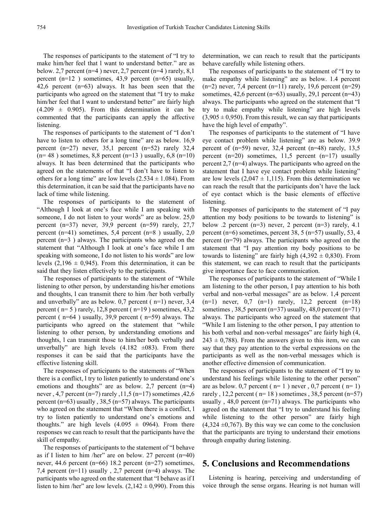The responses of participants to the statement of "I try to make him/her feel that l want to understand better." are as below. 2,7 percent ( $n=4$ ) never, 2,7 percent ( $n=4$ ) rarely, 8,1 percent (n=12 ) sometimes, 43,9 percent (n=65) usually, 42,6 percent (n=63) always. It has been seen that the participants who agreed on the statement that "I try to make him/her feel that I want to understand better" are fairly high  $(4.209 \pm 0.905)$ . From this determination it can be commented that the participants can apply the affective listening.

The responses of participants to the statement of "I don't have to listen to others for a long time" are as below. 16,9 percent  $(n=27)$  never, 35,1 percent  $(n=52)$  rarely 32,4  $(n= 48)$  sometimes, 8,8 percent  $(n=13)$  usually, 6,8  $(n=10)$ always. It has been determined that the participants who agreed on the statements of that "I don't have to listen to others for a long time" are low levels  $(2.534 \pm 1.084)$ . From this determination, it can be said that the participants have no lack of time while listening.

The responses of participants to the statement of "Although I look at one's face while I am speaking with someone, I do not listen to your words" are as below. 25,0 percent (n=37) never, 39,9 percent (n=59) rarely, 27,7 percent (n=41) sometimes, 5,4 percent (n=8) usually, 2,0 percent (n=3 ) always. The participants who agreed on the statement that "Although I look at one's face while I am speaking with someone, I do not listen to his words" are low levels  $(2,196 \pm 0,945)$ . From this determination, it can be said that they listen effectively to the participants.

The responses of participants to the statement of "While listening to other person, by understanding his/her emotions and thoughts, l can transmit there to him /her both verbally and unverbally" are as below. 0,7 percent ( n=1) never, 3,4 percent ( $n=5$ ) rarely, 12,8 percent ( $n=19$ ) sometimes, 43,2 percent ( n=64 ) usually, 39,9 percent ( n=59) always. The participants who agreed on the statement that "while listening to other person, by understanding emotions and thoughts, l can transmit those to him/her both verbally and unverbally" are high levels  $(4.182 \pm 0.083)$ . From there responses it can be said that the participants have the effective listening skill.

The responses of participants to the statements of "When there is a conflict, l try to listen patiently to understand one's emotions and thoughts" are as below. 2,7 percent (n=4) never, 4,7 percent (n=7) rarely ,  $11,5$  (n=17) sometimes ,  $42,6$ percent ( $n=63$ ) usually , 38,5 ( $n=57$ ) always. The participants who agreed on the statement that "When there is a conflict, l try to listen patiently to understand one's emotions and thoughts." are high levels  $(4.095 \pm 0964)$ . From there responses we can reach to result that the participants have the skill of empathy.

The responses of participants to the statement of "I behave as if I listen to him /her" are on below. 27 percent  $(n=40)$ never, 44.6 percent (n=66) 18.2 percent (n=27) sometimes, 7,4 percent (n=11) usually , 2,7 percent (n=4) always. The participants who agreed on the statement that "I behave as if I listen to him /her" are low levels.  $(2,142 \pm 0,990)$ . From this

determination, we can reach to result that the participants behave carefully while listening others.

The responses of participants to the statement of "I try to make empathy while listening" are as below. 1.4 percent  $(n=2)$  never, 7,4 percent  $(n=11)$  rarely, 19,6 percent  $(n=29)$ sometimes,  $42.6$  percent (n=63) usually,  $29.1$  percent (n=43) always. The participants who agreed on the statement that "I try to make empathy while listening" are high levels  $(3,905 \pm 0,950)$ . From this result, we can say that participants have the high level of empathy".

The responses of participants to the statement of "I have eye contact problem while listening" are as below. 39.9 percent of  $(n=59)$  never, 32,4 percent  $(n=48)$  rarely, 13,5 percent  $(n=20)$  sometimes, 11,5 percent  $(n=17)$  usually percent 2,7 (n=4) always. The participants who agreed on the statement that I have eye contact problem while listening" are low levels  $(2,047 \pm 1,115)$ . From this determination we can reach the result that the participants don't have the lack of eye contact which is the basic elements of effective listening.

The responses of participants to the statement of "I pay attention my body positions to be towards to listening" is below .2 percent (n=3) never, 2 percent (n=3) rarely, 4.1 percent (n=6) sometimes, percent 38, 5 (n=57) usually, 53, 4 percent (n=79) always. The participants who agreed on the statement that "I pay attention my body positions to be towards to listening" are fairly high  $(4,392 \pm 0,830)$ . From this statement, we can reach to result that the participants give importance face to face communication.

The responses of participants to the statement of "While I am listening to the other person, I pay attention to his both verbal and non-verbal messages" are as below. 1,4 percent  $(n=1)$  never, 0,7  $(n=1)$  rarely, 12,2 percent  $(n=18)$ sometimes , 38,5 percent ( $n=37$ ) usually, 48,0 percent ( $n=71$ ) always. The participants who agreed on the statement that "While I am listening to the other person, I pay attention to his both verbal and non-verbal messages" are fairly high  $(4, 4)$  $243 \pm 0,788$ ). From the answers given to this item, we can say that they pay attention to the verbal expressions on the participants as well as the non-verbal messages which is another effective dimension of communication.

The responses of participants to the statement of "I try to understand his feelings while listening to the other person" are as below. 0,7 percent ( $n=1$ ) never, 0,7 percent ( $n=1$ ) rarely, 12,2 percent ( $n=18$ ) sometimes, 38,5 percent ( $n=57$ ) usually,  $48,0$  percent (n=71) always. The participants who agreed on the statement that "I try to understand his feeling while listening to the other person" are fairly high  $(4,324 \pm 0,767)$ . By this way we can come to the conclusion that the participants are trying to understand their emotions through empathy during listening.

## **5. Conclusions and Recommendations**

Listening is hearing, perceiving and understanding of voice through the sense organs. Hearing is not human will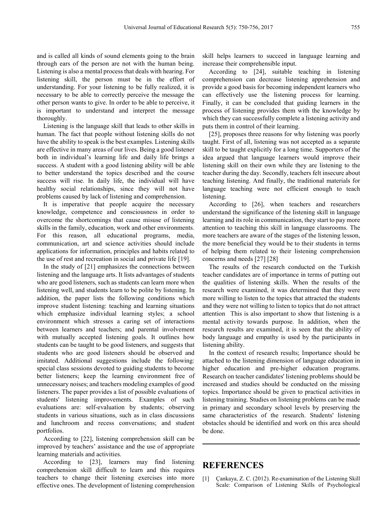and is called all kinds of sound elements going to the brain through ears of the person are not with the human being. Listening is also a mental process that deals with hearing. For listening skill, the person must be in the effort of understanding. For your listening to be fully realized, it is necessary to be able to correctly perceive the message the other person wants to give. In order to be able to perceive, it is important to understand and interpret the message thoroughly.

Listening is the language skill that leads to other skills in human. The fact that people without listening skills do not have the ability to speak is the best examples. Listening skills are effective in many areas of our lives. Being a good listener both in individual's learning life and daily life brings a success. A student with a good listening ability will be able to better understand the topics described and the course success will rise. In daily life, the individual will have healthy social relationships, since they will not have problems caused by lack of listening and comprehension.

It is imperative that people acquire the necessary knowledge, competence and consciousness in order to overcome the shortcomings that cause misuse of listening skills in the family, education, work and other environments. For this reason, all educational programs, media, communication, art and science activities should include applications for information, principles and habits related to the use of rest and recreation in social and private life [19].

In the study of [21] emphasizes the connections between listening and the language arts. It lists advantages of students who are good listeners, such as students can learn more when listening well, and students learn to be polite by listening. In addition, the paper lists the following conditions which improve student listening: teaching and learning situations which emphasize individual learning styles; a school environment which stresses a caring set of interactions between learners and teachers; and parental involvement with mutually accepted listening goals. It outlines how students can be taught to be good listeners, and suggests that students who are good listeners should be observed and imitated. Additional suggestions include the following: special class sessions devoted to guiding students to become better listeners; keep the learning environment free of unnecessary noises; and teachers modeling examples of good listeners. The paper provides a list of possible evaluations of students' listening improvements. Examples of such evaluations are: self-evaluation by students; observing students in various situations, such as in class discussions and lunchroom and recess conversations; and student portfolios.

According to [22], listening comprehension skill can be improved by teachers' assistance and the use of appropriate learning materials and activities.

According to [23], learners may find listening comprehension skill difficult to learn and this requires teachers to change their listening exercises into more effective ones. The development of listening comprehension skill helps learners to succeed in language learning and increase their comprehensible input.

According to [24], suitable teaching in listening comprehension can decrease listening apprehension and provide a good basis for becoming independent learners who can effectively use the listening process for learning. Finally, it can be concluded that guiding learners in the process of listening provides them with the knowledge by which they can successfully complete a listening activity and puts them in control of their learning.

[25], proposes three reasons for why listening was poorly taught. First of all, listening was not accepted as a separate skill to be taught explicitly for a long time. Supporters of the idea argued that language learners would improve their listening skill on their own while they are listening to the teacher during the day. Secondly, teachers felt insecure about teaching listening. And finally, the traditional materials for language teaching were not efficient enough to teach listening.

According to [26], when teachers and researchers understand the significance of the listening skill in language learning and its role in communication, they start to pay more attention to teaching this skill in language classrooms. The more teachers are aware of the stages of the listening lesson, the more beneficial they would be to their students in terms of helping them related to their listening comprehension concerns and needs [27] [28]

The results of the research conducted on the Turkish teacher candidates are of importance in terms of putting out the qualities of listening skills. When the results of the research were examined, it was determined that they were more willing to listen to the topics that attracted the students and they were not willing to listen to topics that do not attract attention This is also important to show that listening is a mental activity towards purpose. In addition, when the research results are examined, it is seen that the ability of body language and empathy is used by the participants in listening ability.

In the context of research results; Importance should be attached to the listening dimension of language education in higher education and pre-higher education programs. Research on teacher candidates' listening problems should be increased and studies should be conducted on the missing topics. Importance should be given to practical activities in listening training. Studies on listening problems can be made in primary and secondary school levels by preserving the same characteristics of the research. Students' listening obstacles should be identified and work on this area should be done.

## **REFERENCES**

[1] Çankaya, Z. C. (2012). Re-examination of the Listening Skill Scale: Comparison of Listening Skills of Psychological